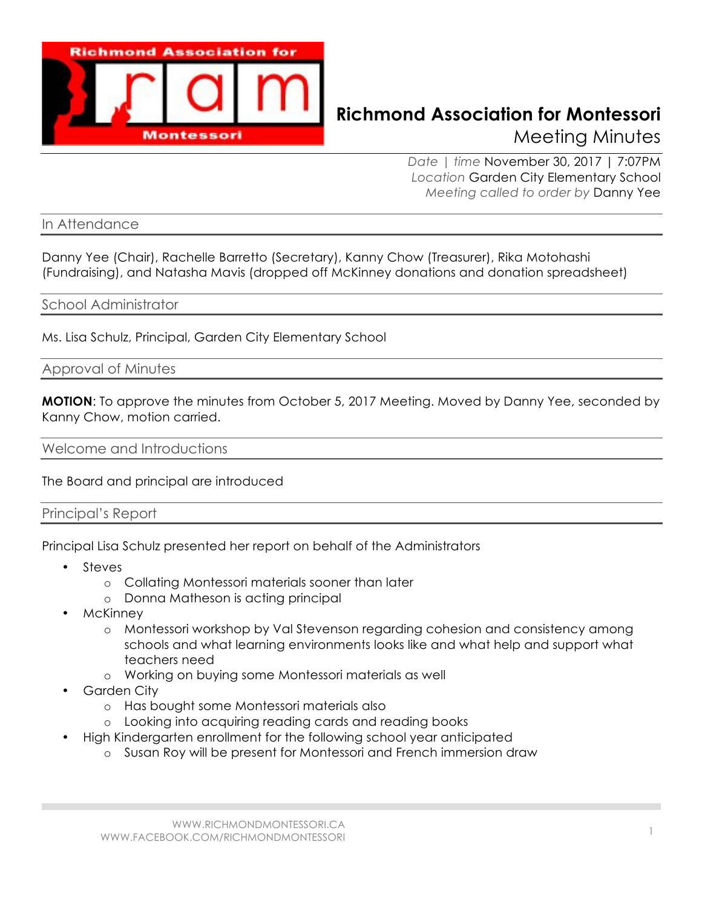

# **Richmond Association for Montessori** Meeting Minutes

*Date | time* November 30, 2017 | 7:07PM *Location* Garden City Elementary School *Meeting called to order by* Danny Yee

In Attendance

Danny Yee (Chair), Rachelle Barretto (Secretary), Kanny Chow (Treasurer), Rika Motohashi (Fundraising), and Natasha Mavis (dropped off McKinney donations and donation spreadsheet)

#### School Administrator

Ms. Lisa Schulz, Principal, Garden City Elementary School

Approval of Minutes

**MOTION**: To approve the minutes from October 5, 2017 Meeting. Moved by Danny Yee, seconded by Kanny Chow, motion carried.

Welcome and Introductions

The Board and principal are introduced

Principal's Report

Principal Lisa Schulz presented her report on behalf of the Administrators

- Steves
	- o Collating Montessori materials sooner than later
	- o Donna Matheson is acting principal
- McKinney
	- o Montessori workshop by Val Stevenson regarding cohesion and consistency among schools and what learning environments looks like and what help and support what teachers need
	- o Working on buying some Montessori materials as well
- **Garden City** 
	- o Has bought some Montessori materials also
	- o Looking into acquiring reading cards and reading books
- High Kindergarten enrollment for the following school year anticipated
	- o Susan Roy will be present for Montessori and French immersion draw